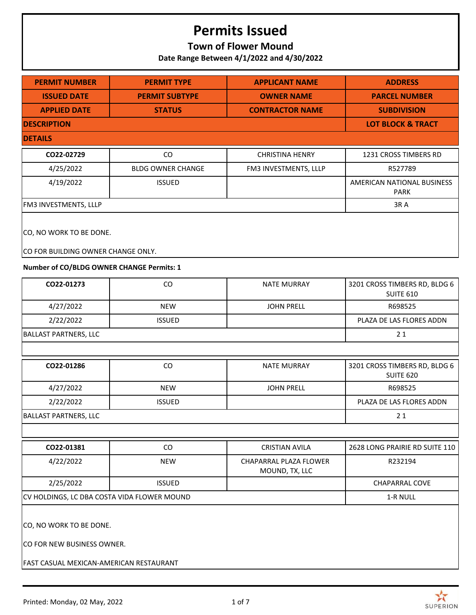### **Town of Flower Mound**

**Date Range Between 4/1/2022 and 4/30/2022**

| <b>PERMIT NUMBER</b>                                                                                       | <b>PERMIT TYPE</b>       | <b>APPLICANT NAME</b>                    | <b>ADDRESS</b>                                    |
|------------------------------------------------------------------------------------------------------------|--------------------------|------------------------------------------|---------------------------------------------------|
| <b>ISSUED DATE</b>                                                                                         | <b>PERMIT SUBTYPE</b>    | <b>OWNER NAME</b>                        | <b>PARCEL NUMBER</b>                              |
| <b>APPLIED DATE</b>                                                                                        | <b>STATUS</b>            | <b>CONTRACTOR NAME</b>                   | <b>SUBDIVISION</b>                                |
| <b>DESCRIPTION</b>                                                                                         |                          |                                          | <b>LOT BLOCK &amp; TRACT</b>                      |
| <b>DETAILS</b>                                                                                             |                          |                                          |                                                   |
| CO22-02729                                                                                                 | CO                       | <b>CHRISTINA HENRY</b>                   | 1231 CROSS TIMBERS RD                             |
| 4/25/2022                                                                                                  | <b>BLDG OWNER CHANGE</b> | FM3 INVESTMENTS, LLLP                    | R527789                                           |
| 4/19/2022                                                                                                  | <b>ISSUED</b>            |                                          | AMERICAN NATIONAL BUSINESS<br><b>PARK</b>         |
| FM3 INVESTMENTS, LLLP                                                                                      |                          |                                          | 3RA                                               |
| CO, NO WORK TO BE DONE.<br>CO FOR BUILDING OWNER CHANGE ONLY.<br>Number of CO/BLDG OWNER CHANGE Permits: 1 |                          |                                          |                                                   |
|                                                                                                            |                          |                                          |                                                   |
| CO22-01273                                                                                                 | CO                       | <b>NATE MURRAY</b>                       | 3201 CROSS TIMBERS RD, BLDG 6<br><b>SUITE 610</b> |
| 4/27/2022                                                                                                  | <b>NEW</b>               | <b>JOHN PRELL</b>                        | R698525                                           |
| 2/22/2022                                                                                                  | <b>ISSUED</b>            |                                          | PLAZA DE LAS FLORES ADDN                          |
| <b>BALLAST PARTNERS, LLC</b>                                                                               |                          |                                          | 21                                                |
|                                                                                                            |                          |                                          |                                                   |
| CO22-01286                                                                                                 | CO                       | <b>NATE MURRAY</b>                       | 3201 CROSS TIMBERS RD, BLDG 6<br><b>SUITE 620</b> |
| 4/27/2022                                                                                                  | <b>NEW</b>               | <b>JOHN PRELL</b>                        | R698525                                           |
| 2/22/2022                                                                                                  | <b>ISSUED</b>            |                                          | PLAZA DE LAS FLORES ADDN                          |
| <b>BALLAST PARTNERS, LLC</b>                                                                               |                          |                                          | 21                                                |
|                                                                                                            |                          |                                          |                                                   |
| CO22-01381                                                                                                 | CO                       | <b>CRISTIAN AVILA</b>                    | 2628 LONG PRAIRIE RD SUITE 110                    |
| 4/22/2022                                                                                                  | <b>NEW</b>               | CHAPARRAL PLAZA FLOWER<br>MOUND, TX, LLC | R232194                                           |
| 2/25/2022                                                                                                  | <b>ISSUED</b>            |                                          | <b>CHAPARRAL COVE</b>                             |
| CV HOLDINGS, LC DBA COSTA VIDA FLOWER MOUND                                                                |                          |                                          | 1-R NULL                                          |
| CO, NO WORK TO BE DONE.<br>CO FOR NEW BUSINESS OWNER.<br>FAST CASUAL MEXICAN-AMERICAN RESTAURANT           |                          |                                          |                                                   |
|                                                                                                            |                          |                                          |                                                   |

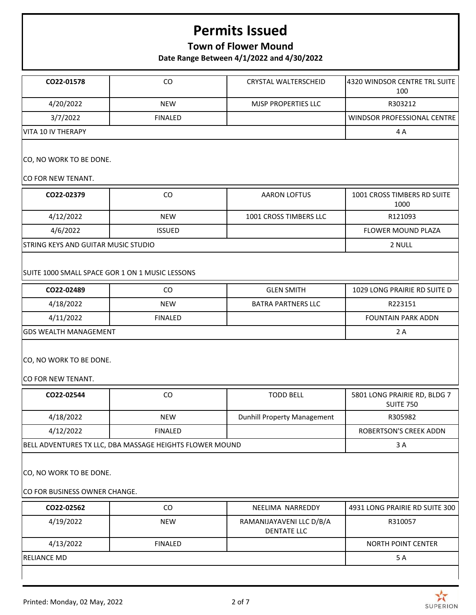## **Town of Flower Mound**

**Date Range Between 4/1/2022 and 4/30/2022**

| CO22-01578                                               | CO                                                       | <b>CRYSTAL WALTERSCHEID</b>                    | 4320 WINDSOR CENTRE TRL SUITE<br>100             |
|----------------------------------------------------------|----------------------------------------------------------|------------------------------------------------|--------------------------------------------------|
| 4/20/2022                                                | <b>NEW</b>                                               | MJSP PROPERTIES LLC                            | R303212                                          |
| 3/7/2022                                                 | <b>FINALED</b>                                           |                                                | <b>WINDSOR PROFESSIONAL CENTRE</b>               |
| VITA 10 IV THERAPY                                       |                                                          |                                                | 4A                                               |
| CO, NO WORK TO BE DONE.                                  |                                                          |                                                |                                                  |
| CO FOR NEW TENANT.                                       |                                                          |                                                |                                                  |
| CO22-02379                                               | CO                                                       | <b>AARON LOFTUS</b>                            | 1001 CROSS TIMBERS RD SUITE<br>1000              |
| 4/12/2022                                                | <b>NEW</b>                                               | 1001 CROSS TIMBERS LLC                         | R121093                                          |
| 4/6/2022                                                 | <b>ISSUED</b>                                            |                                                | <b>FLOWER MOUND PLAZA</b>                        |
| <b>STRING KEYS AND GUITAR MUSIC STUDIO</b>               |                                                          |                                                | 2 NULL                                           |
| SUITE 1000 SMALL SPACE GOR 1 ON 1 MUSIC LESSONS          |                                                          |                                                |                                                  |
| CO22-02489                                               | CO                                                       | <b>GLEN SMITH</b>                              | 1029 LONG PRAIRIE RD SUITE D                     |
| 4/18/2022                                                | <b>NEW</b>                                               | <b>BATRA PARTNERS LLC</b>                      | R223151                                          |
| 4/11/2022                                                | <b>FINALED</b>                                           |                                                | <b>FOUNTAIN PARK ADDN</b>                        |
| <b>GDS WEALTH MANAGEMENT</b>                             |                                                          |                                                | 2A                                               |
| CO, NO WORK TO BE DONE.<br>CO FOR NEW TENANT.            |                                                          |                                                |                                                  |
| CO22-02544                                               | CO                                                       | <b>TODD BELL</b>                               | 5801 LONG PRAIRIE RD, BLDG 7<br><b>SUITE 750</b> |
| 4/18/2022                                                | <b>NEW</b>                                               | Dunhill Property Management                    | R305982                                          |
| 4/12/2022                                                | <b>FINALED</b>                                           |                                                | ROBERTSON'S CREEK ADDN                           |
|                                                          | BELL ADVENTURES TX LLC, DBA MASSAGE HEIGHTS FLOWER MOUND |                                                | 3 A                                              |
| CO, NO WORK TO BE DONE.<br>CO FOR BUSINESS OWNER CHANGE. |                                                          |                                                |                                                  |
| CO22-02562                                               | $\rm CO$                                                 | NEELIMA NARREDDY                               | 4931 LONG PRAIRIE RD SUITE 300                   |
| 4/19/2022                                                | <b>NEW</b>                                               | RAMANIJAYAVENI LLC D/B/A<br><b>DENTATE LLC</b> | R310057                                          |
| 4/13/2022                                                | <b>FINALED</b>                                           |                                                | NORTH POINT CENTER                               |
| <b>RELIANCE MD</b>                                       |                                                          |                                                | 5A                                               |
|                                                          |                                                          |                                                |                                                  |
| Printed: Monday, 02 May, 2022                            |                                                          | 2 of 7                                         | <b>SUPERION</b>                                  |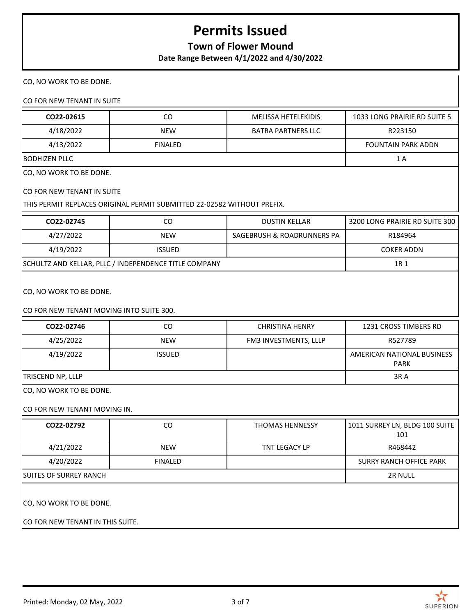## **Town of Flower Mound**

**Date Range Between 4/1/2022 and 4/30/2022**

CO, NO WORK TO BE DONE.

CO FOR NEW TENANT IN SUITE

| CO22-02615                               | CO                                                                      | <b>MELISSA HETELEKIDIS</b> | 1033 LONG PRAIRIE RD SUITE 5              |
|------------------------------------------|-------------------------------------------------------------------------|----------------------------|-------------------------------------------|
| 4/18/2022                                | <b>NEW</b>                                                              | <b>BATRA PARTNERS LLC</b>  | R223150                                   |
| 4/13/2022                                | <b>FINALED</b>                                                          |                            | <b>FOUNTAIN PARK ADDN</b>                 |
| <b>BODHIZEN PLLC</b>                     |                                                                         |                            | 1 A                                       |
| CO, NO WORK TO BE DONE.                  |                                                                         |                            |                                           |
| CO FOR NEW TENANT IN SUITE               |                                                                         |                            |                                           |
|                                          | THIS PERMIT REPLACES ORIGINAL PERMIT SUBMITTED 22-02582 WITHOUT PREFIX. |                            |                                           |
| CO22-02745                               | CO                                                                      | <b>DUSTIN KELLAR</b>       | 3200 LONG PRAIRIE RD SUITE 300            |
| 4/27/2022                                | <b>NEW</b>                                                              | SAGEBRUSH & ROADRUNNERS PA | R184964                                   |
| 4/19/2022                                | <b>ISSUED</b>                                                           |                            | <b>COKER ADDN</b>                         |
|                                          | SCHULTZ AND KELLAR, PLLC / INDEPENDENCE TITLE COMPANY                   |                            | 1R 1                                      |
|                                          |                                                                         |                            |                                           |
| CO, NO WORK TO BE DONE.                  |                                                                         |                            |                                           |
|                                          |                                                                         |                            |                                           |
| CO FOR NEW TENANT MOVING INTO SUITE 300. |                                                                         |                            |                                           |
| CO22-02746                               | CO                                                                      | <b>CHRISTINA HENRY</b>     | 1231 CROSS TIMBERS RD                     |
| 4/25/2022                                | <b>NEW</b>                                                              | FM3 INVESTMENTS, LLLP      | R527789                                   |
| 4/19/2022                                | <b>ISSUED</b>                                                           |                            | AMERICAN NATIONAL BUSINESS<br><b>PARK</b> |
| TRISCEND NP, LLLP                        | 3RA                                                                     |                            |                                           |
| CO, NO WORK TO BE DONE.                  |                                                                         |                            |                                           |
| CO FOR NEW TENANT MOVING IN.             |                                                                         |                            |                                           |
|                                          |                                                                         |                            |                                           |
| CO22-02792                               | CO                                                                      | THOMAS HENNESSY            | 1011 SURREY LN, BLDG 100 SUITE<br>101     |
| 4/21/2022                                | <b>NEW</b>                                                              | TNT LEGACY LP              | R468442                                   |
| 4/20/2022                                | <b>FINALED</b>                                                          |                            | <b>SURRY RANCH OFFICE PARK</b>            |
| <b>SUITES OF SURREY RANCH</b>            | 2R NULL                                                                 |                            |                                           |
|                                          |                                                                         |                            |                                           |
| CO, NO WORK TO BE DONE.                  |                                                                         |                            |                                           |
| CO FOR NEW TENANT IN THIS SUITE.         |                                                                         |                            |                                           |

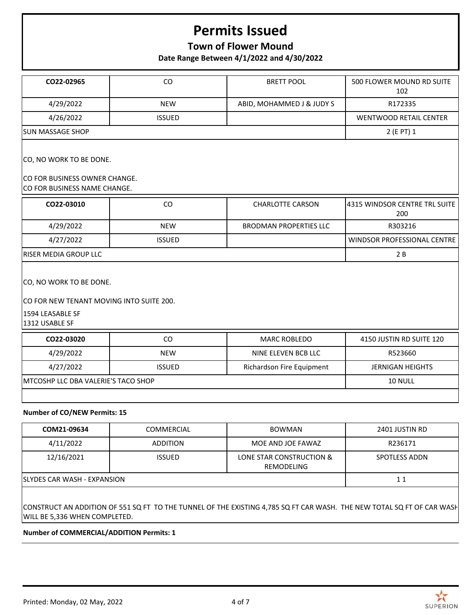### **Town of Flower Mound**

**Date Range Between 4/1/2022 and 4/30/2022**

| CO22-02965                                                                                                | CO            | <b>BRETT POOL</b>             | 500 FLOWER MOUND RD SUITE<br>102     |
|-----------------------------------------------------------------------------------------------------------|---------------|-------------------------------|--------------------------------------|
| 4/29/2022                                                                                                 | <b>NEW</b>    | ABID, MOHAMMED J & JUDY S     | R172335                              |
| 4/26/2022                                                                                                 | <b>ISSUED</b> |                               | <b>WENTWOOD RETAIL CENTER</b>        |
| SUN MASSAGE SHOP                                                                                          |               |                               | 2 (E PT) 1                           |
| CO, NO WORK TO BE DONE.<br>CO FOR BUSINESS OWNER CHANGE.<br>CO FOR BUSINESS NAME CHANGE.                  |               |                               |                                      |
| CO22-03010                                                                                                | CO            | <b>CHARLOTTE CARSON</b>       | 4315 WINDSOR CENTRE TRL SUITE<br>200 |
| 4/29/2022                                                                                                 | <b>NEW</b>    | <b>BRODMAN PROPERTIES LLC</b> | R303216                              |
| 4/27/2022                                                                                                 | <b>ISSUED</b> |                               | WINDSOR PROFESSIONAL CENTRE          |
| <b>RISER MEDIA GROUP LLC</b>                                                                              |               |                               | 2B                                   |
| CO, NO WORK TO BE DONE.<br>CO FOR NEW TENANT MOVING INTO SUITE 200.<br>1594 LEASABLE SF<br>1312 USABLE SF |               |                               |                                      |
| CO22-03020                                                                                                | CO            | <b>MARC ROBLEDO</b>           | 4150 JUSTIN RD SUITE 120             |
| 4/29/2022                                                                                                 | <b>NEW</b>    | NINE ELEVEN BCB LLC           | R523660                              |
| 4/27/2022                                                                                                 | <b>ISSUED</b> | Richardson Fire Equipment     | <b>JERNIGAN HEIGHTS</b>              |
| MTCOSHP LLC DBA VALERIE'S TACO SHOP                                                                       |               |                               | 10 NULL                              |
|                                                                                                           |               |                               |                                      |

#### **Number of CO/NEW Permits: 15**

| COM21-09634                  | <b>COMMERCIAL</b> | BOWMAN                                 | 2401 JUSTIN RD |
|------------------------------|-------------------|----------------------------------------|----------------|
| 4/11/2022                    | <b>ADDITION</b>   | MOE AND JOE FAWAZ                      | R236171        |
| 12/16/2021                   | <b>ISSUED</b>     | LONE STAR CONSTRUCTION &<br>REMODELING | SPOTLESS ADDN  |
| ISLYDES CAR WASH - EXPANSION |                   |                                        | 11             |
|                              |                   |                                        |                |

CONSTRUCT AN ADDITION OF 551 SQ FT TO THE TUNNEL OF THE EXISTING 4,785 SQ FT CAR WASH. THE NEW TOTAL SQ FT OF CAR WASH WILL BE 5,336 WHEN COMPLETED.

**Number of COMMERCIAL/ADDITION Permits: 1**

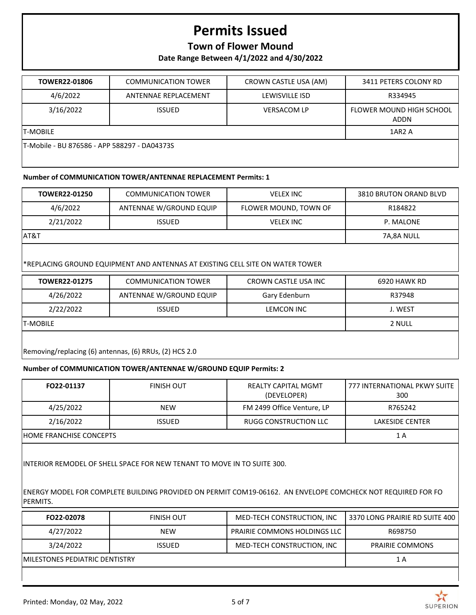### **Town of Flower Mound**

**Date Range Between 4/1/2022 and 4/30/2022**

| TOWER22-01806                                | <b>COMMUNICATION TOWER</b> | CROWN CASTLE USA (AM) | 3411 PETERS COLONY RD            |  |  |
|----------------------------------------------|----------------------------|-----------------------|----------------------------------|--|--|
| 4/6/2022                                     | ANTENNAE REPLACEMENT       | LEWISVILLE ISD        | R334945                          |  |  |
| 3/16/2022                                    | <b>ISSUED</b>              | <b>VERSACOM LP</b>    | FLOWER MOUND HIGH SCHOOL<br>ADDN |  |  |
| <b>T-MOBILE</b>                              |                            |                       | 1AR <sub>2</sub> A               |  |  |
| T-Mobile - BU 876586 - APP 588297 - DA04373S |                            |                       |                                  |  |  |

#### **Number of COMMUNICATION TOWER/ANTENNAE REPLACEMENT Permits: 1**

| <b>TOWER22-01250</b> | <b>COMMUNICATION TOWER</b> | <b>VELEX INC</b>      | 3810 BRUTON ORAND BLVD |
|----------------------|----------------------------|-----------------------|------------------------|
| 4/6/2022             | ANTENNAE W/GROUND EQUIP    | FLOWER MOUND, TOWN OF | R184822                |
| 2/21/2022            | <b>ISSUED</b>              | <b>VELEX INC</b>      | P. MALONE              |
| AT&T                 |                            |                       | 7A.8A NULL             |

#### \*REPLACING GROUND EQUIPMENT AND ANTENNAS AT EXISTING CELL SITE ON WATER TOWER

| <b>TOWER22-01275</b>                                   | <b>COMMUNICATION TOWER</b> | CROWN CASTLE USA INC | 6920 HAWK RD |  |
|--------------------------------------------------------|----------------------------|----------------------|--------------|--|
| 4/26/2022                                              | ANTENNAE W/GROUND EQUIP    | Gary Edenburn        | R37948       |  |
| 2/22/2022                                              | <b>ISSUED</b>              | LEMCON INC           | J. WEST      |  |
| <b>T-MOBILE</b>                                        | 2 NULL                     |                      |              |  |
| Removing/replacing (6) antennas, (6) RRUs, (2) HCS 2.0 |                            |                      |              |  |

#### **Number of COMMUNICATION TOWER/ANTENNAE W/GROUND EQUIP Permits: 2**

| FO22-01137              | <b>FINISH OUT</b> | <b>REALTY CAPITAL MGMT</b><br>(DEVELOPER) | 777 INTERNATIONAL PKWY SUITE<br>300 |
|-------------------------|-------------------|-------------------------------------------|-------------------------------------|
| 4/25/2022               | <b>NEW</b>        | FM 2499 Office Venture, LP                | R765242                             |
| 2/16/2022               | <b>ISSUED</b>     | RUGG CONSTRUCTION LLC                     | LAKESIDE CENTER                     |
| HOME FRANCHISE CONCEPTS |                   |                                           | 1 A                                 |

INTERIOR REMODEL OF SHELL SPACE FOR NEW TENANT TO MOVE IN TO SUITE 300.

ENERGY MODEL FOR COMPLETE BUILDING PROVIDED ON PERMIT COM19-06162. AN ENVELOPE COMCHECK NOT REQUIRED FOR FO PERMITS.

| FO22-02078                      | FINISH OUT    | MED-TECH CONSTRUCTION, INC          | 3370 LONG PRAIRIE RD SUITE 400 |
|---------------------------------|---------------|-------------------------------------|--------------------------------|
| 4/27/2022                       | <b>NEW</b>    | <b>PRAIRIE COMMONS HOLDINGS LLC</b> | R698750                        |
| 3/24/2022                       | <b>ISSUED</b> | MED-TECH CONSTRUCTION, INC          | <b>PRAIRIE COMMONS</b>         |
| IMILESTONES PEDIATRIC DENTISTRY |               |                                     | 1 A                            |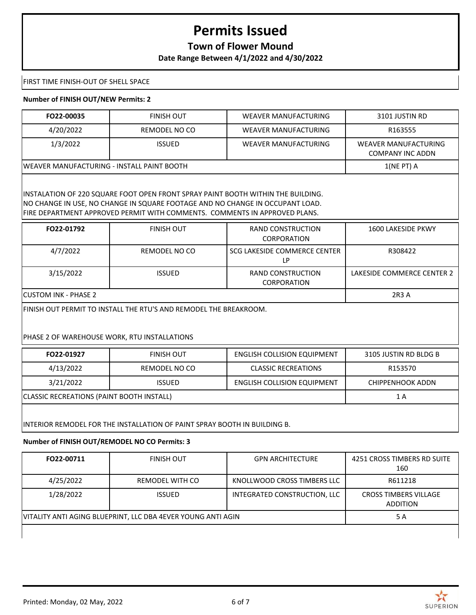### **Town of Flower Mound**

**Date Range Between 4/1/2022 and 4/30/2022**

FIRST TIME FINISH-OUT OF SHELL SPACE

#### **Number of FINISH OUT/NEW Permits: 2**

| FO22-00035                                  | FINISH OUT    | WEAVER MANUFACTURING | 3101 JUSTIN RD                           |
|---------------------------------------------|---------------|----------------------|------------------------------------------|
| 4/20/2022                                   | REMODEL NO CO | WEAVER MANUFACTURING | R163555                                  |
| 1/3/2022                                    | <b>ISSUED</b> | WEAVER MANUFACTURING | WEAVER MANUFACTURING<br>COMPANY INC ADDN |
| IWEAVER MANUFACTURING - INSTALL PAINT BOOTH |               |                      | $1(NEPT)$ A                              |

INSTALATION OF 220 SQUARE FOOT OPEN FRONT SPRAY PAINT BOOTH WITHIN THE BUILDING. NO CHANGE IN USE, NO CHANGE IN SQUARE FOOTAGE AND NO CHANGE IN OCCUPANT LOAD. FIRE DEPARTMENT APPROVED PERMIT WITH COMMENTS. COMMENTS IN APPROVED PLANS.

| FO22-01792            | <b>FINISH OUT</b> | RAND CONSTRUCTION<br><b>CORPORATION</b> | 1600 LAKESIDE PKWY         |
|-----------------------|-------------------|-----------------------------------------|----------------------------|
| 4/7/2022              | REMODEL NO CO     | SCG LAKESIDE COMMERCE CENTER<br>LP      | R308422                    |
| 3/15/2022             | <b>ISSUED</b>     | RAND CONSTRUCTION<br><b>CORPORATION</b> | LAKESIDE COMMERCE CENTER 2 |
| ICUSTOM INK - PHASE 2 |                   |                                         | 2R3 A                      |

FINISH OUT PERMIT TO INSTALL THE RTU'S AND REMODEL THE BREAKROOM.

#### PHASE 2 OF WAREHOUSE WORK, RTU INSTALLATIONS

| FO22-01927                                | <b>FINISH OUT</b> | <b>ENGLISH COLLISION EQUIPMENT</b> | 3105 JUSTIN RD BLDG B |
|-------------------------------------------|-------------------|------------------------------------|-----------------------|
| 4/13/2022                                 | REMODEL NO CO     | <b>CLASSIC RECREATIONS</b>         | R153570               |
| 3/21/2022                                 | <b>ISSUED</b>     | <b>ENGLISH COLLISION EQUIPMENT</b> | CHIPPENHOOK ADDN      |
| CLASSIC RECREATIONS (PAINT BOOTH INSTALL) |                   |                                    | 1 A                   |
|                                           |                   |                                    |                       |

INTERIOR REMODEL FOR THE INSTALLATION OF PAINT SPRAY BOOTH IN BUILDING B.

#### **Number of FINISH OUT/REMODEL NO CO Permits: 3**

| FO22-00711                                                   | <b>FINISH OUT</b> | <b>GPN ARCHITECTURE</b>      | 4251 CROSS TIMBERS RD SUITE<br>160              |
|--------------------------------------------------------------|-------------------|------------------------------|-------------------------------------------------|
| 4/25/2022                                                    | REMODEL WITH CO   | KNOLLWOOD CROSS TIMBERS LLC  | R611218                                         |
| 1/28/2022                                                    | <b>ISSUED</b>     | INTEGRATED CONSTRUCTION, LLC | <b>CROSS TIMBERS VILLAGE</b><br><b>ADDITION</b> |
| VITALITY ANTI AGING BLUEPRINT, LLC DBA 4EVER YOUNG ANTI AGIN |                   | 5 A                          |                                                 |